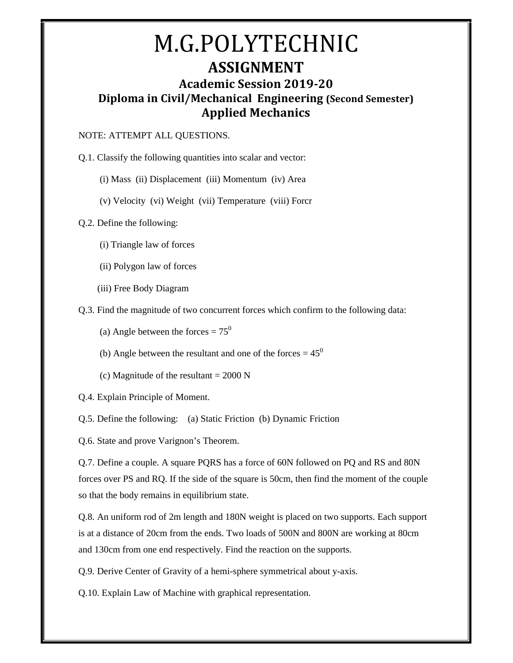### M.G.POLYTECHNIC **ASSIGNMENT Academic Session 2019-20 Diploma in Civil/Mechanical Engineering (Second Semester) Applied Mechanics**

#### NOTE: ATTEMPT ALL QUESTIONS.

Q.1. Classify the following quantities into scalar and vector:

(i) Mass (ii) Displacement (iii) Momentum (iv) Area

(v) Velocity (vi) Weight (vii) Temperature (viii) Forcr

Q.2. Define the following:

- (i) Triangle law of forces
- (ii) Polygon law of forces
- (iii) Free Body Diagram

Q.3. Find the magnitude of two concurrent forces which confirm to the following data:

- (a) Angle between the forces =  $75^{\circ}$
- (b) Angle between the resultant and one of the forces  $= 45^{\circ}$
- (c) Magnitude of the resultant  $= 2000$  N
- Q.4. Explain Principle of Moment.

Q.5. Define the following: (a) Static Friction (b) Dynamic Friction

Q.6. State and prove Varignon's Theorem.

Q.7. Define a couple. A square PQRS has a force of 60N followed on PQ and RS and 80N forces over PS and RQ. If the side of the square is 50cm, then find the moment of the couple so that the body remains in equilibrium state.

Q.8. An uniform rod of 2m length and 180N weight is placed on two supports. Each support is at a distance of 20cm from the ends. Two loads of 500N and 800N are working at 80cm and 130cm from one end respectively. Find the reaction on the supports.

Q.9. Derive Center of Gravity of a hemi-sphere symmetrical about y-axis.

Q.10. Explain Law of Machine with graphical representation.